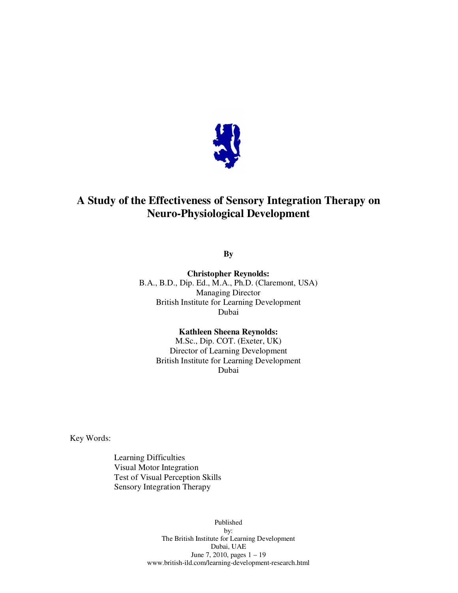

# **A Study of the Effectiveness of Sensory Integration Therapy on Neuro-Physiological Development**

**By** 

**Christopher Reynolds:**  B.A., B.D., Dip. Ed., M.A., Ph.D. (Claremont, USA) Managing Director British Institute for Learning Development Dubai

> **Kathleen Sheena Reynolds:**  M.Sc., Dip. COT. (Exeter, UK) Director of Learning Development British Institute for Learning Development Dubai

Key Words:

Learning Difficulties Visual Motor Integration Test of Visual Perception Skills Sensory Integration Therapy

> Published by: The British Institute for Learning Development Dubai, UAE June 7, 2010, pages 1 – 19 www.british-ild.com/learning-development-research.html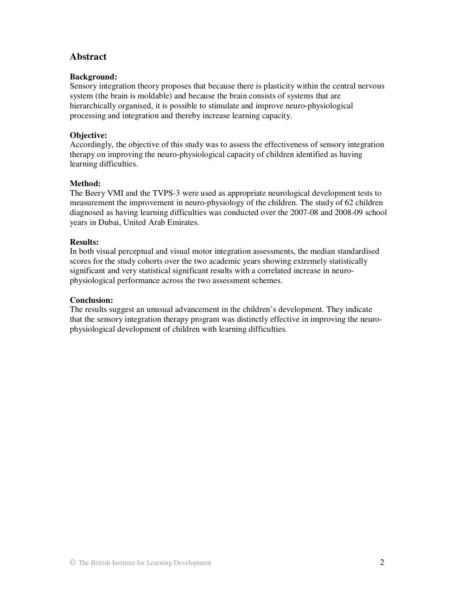# **Abstract**

# **Background:**

Sensory integration theory proposes that because there is plasticity within the central nervous system (the brain is moldable) and because the brain consists of systems that are hierarchically organised, it is possible to stimulate and improve neuro-physiological processing and integration and thereby increase learning capacity.

# **Objective:**

Accordingly, the objective of this study was to assess the effectiveness of sensory integration therapy on improving the neuro-physiological capacity of children identified as having learning difficulties.

# **Method:**

The Beery VMI and the TVPS-3 were used as appropriate neurological development tests to measurement the improvement in neuro-physiology of the children. The study of 62 children diagnosed as having learning difficulties was conducted over the 2007-08 and 2008-09 school years in Dubai, United Arab Emirates.

# **Results:**

In both visual perceptual and visual motor integration assessments, the median standardised scores for the study cohorts over the two academic years showing extremely statistically significant and very statistical significant results with a correlated increase in neurophysiological performance across the two assessment schemes.

## **Conclusion:**

The results suggest an unusual advancement in the children's development. They indicate that the sensory integration therapy program was distinctly effective in improving the neurophysiological development of children with learning difficulties.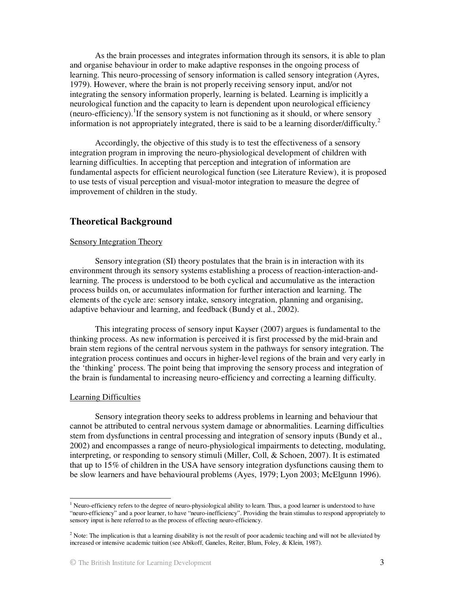As the brain processes and integrates information through its sensors, it is able to plan and organise behaviour in order to make adaptive responses in the ongoing process of learning. This neuro-processing of sensory information is called sensory integration (Ayres, 1979). However, where the brain is not properly receiving sensory input, and/or not integrating the sensory information properly, learning is belated. Learning is implicitly a neurological function and the capacity to learn is dependent upon neurological efficiency (neuro-efficiency). <sup>1</sup>If the sensory system is not functioning as it should, or where sensory information is not appropriately integrated, there is said to be a learning disorder/difficulty.<sup>2</sup>

Accordingly, the objective of this study is to test the effectiveness of a sensory integration program in improving the neuro-physiological development of children with learning difficulties. In accepting that perception and integration of information are fundamental aspects for efficient neurological function (see Literature Review), it is proposed to use tests of visual perception and visual-motor integration to measure the degree of improvement of children in the study.

# **Theoretical Background**

### Sensory Integration Theory

Sensory integration (SI) theory postulates that the brain is in interaction with its environment through its sensory systems establishing a process of reaction-interaction-andlearning. The process is understood to be both cyclical and accumulative as the interaction process builds on, or accumulates information for further interaction and learning. The elements of the cycle are: sensory intake, sensory integration, planning and organising, adaptive behaviour and learning, and feedback (Bundy et al., 2002).

 This integrating process of sensory input Kayser (2007) argues is fundamental to the thinking process. As new information is perceived it is first processed by the mid-brain and brain stem regions of the central nervous system in the pathways for sensory integration. The integration process continues and occurs in higher-level regions of the brain and very early in the 'thinking' process. The point being that improving the sensory process and integration of the brain is fundamental to increasing neuro-efficiency and correcting a learning difficulty.

#### Learning Difficulties

-

Sensory integration theory seeks to address problems in learning and behaviour that cannot be attributed to central nervous system damage or abnormalities. Learning difficulties stem from dysfunctions in central processing and integration of sensory inputs (Bundy et al., 2002) and encompasses a range of neuro-physiological impairments to detecting, modulating, interpreting, or responding to sensory stimuli (Miller, Coll, & Schoen, 2007). It is estimated that up to 15% of children in the USA have sensory integration dysfunctions causing them to be slow learners and have behavioural problems (Ayes, 1979; Lyon 2003; McElgunn 1996).

<sup>&</sup>lt;sup>1</sup> Neuro-efficiency refers to the degree of neuro-physiological ability to learn. Thus, a good learner is understood to have "neuro-efficiency" and a poor learner, to have "neuro-inefficiency". Providing the brain stimulus to respond appropriately to sensory input is here referred to as the process of effecting neuro-efficiency.

<sup>&</sup>lt;sup>2</sup> Note: The implication is that a learning disability is not the result of poor academic teaching and will not be alleviated by increased or intensive academic tuition (see Abikoff, Ganeles, Reiter, Blum, Foley, & Klein, 1987).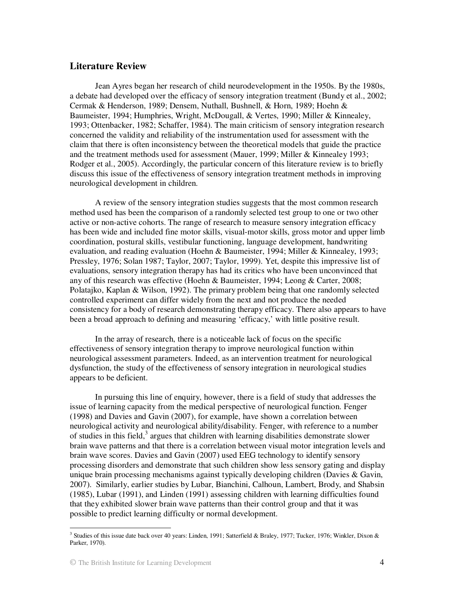# **Literature Review**

Jean Ayres began her research of child neurodevelopment in the 1950s. By the 1980s, a debate had developed over the efficacy of sensory integration treatment (Bundy et al., 2002; Cermak & Henderson, 1989; Densem, Nuthall, Bushnell, & Horn, 1989; Hoehn & Baumeister, 1994; Humphries, Wright, McDougall, & Vertes, 1990; Miller & Kinnealey, 1993; Ottenbacker, 1982; Schaffer, 1984). The main criticism of sensory integration research concerned the validity and reliability of the instrumentation used for assessment with the claim that there is often inconsistency between the theoretical models that guide the practice and the treatment methods used for assessment (Mauer, 1999; Miller & Kinnealey 1993; Rodger et al., 2005). Accordingly, the particular concern of this literature review is to briefly discuss this issue of the effectiveness of sensory integration treatment methods in improving neurological development in children.

A review of the sensory integration studies suggests that the most common research method used has been the comparison of a randomly selected test group to one or two other active or non-active cohorts. The range of research to measure sensory integration efficacy has been wide and included fine motor skills, visual-motor skills, gross motor and upper limb coordination, postural skills, vestibular functioning, language development, handwriting evaluation, and reading evaluation (Hoehn & Baumeister, 1994; Miller & Kinnealey, 1993; Pressley, 1976; Solan 1987; Taylor, 2007; Taylor, 1999). Yet, despite this impressive list of evaluations, sensory integration therapy has had its critics who have been unconvinced that any of this research was effective (Hoehn & Baumeister, 1994; Leong & Carter, 2008; Polatajko, Kaplan & Wilson, 1992). The primary problem being that one randomly selected controlled experiment can differ widely from the next and not produce the needed consistency for a body of research demonstrating therapy efficacy. There also appears to have been a broad approach to defining and measuring 'efficacy,' with little positive result.

 In the array of research, there is a noticeable lack of focus on the specific effectiveness of sensory integration therapy to improve neurological function within neurological assessment parameters. Indeed, as an intervention treatment for neurological dysfunction, the study of the effectiveness of sensory integration in neurological studies appears to be deficient.

In pursuing this line of enquiry, however, there is a field of study that addresses the issue of learning capacity from the medical perspective of neurological function. Fenger (1998) and Davies and Gavin (2007), for example, have shown a correlation between neurological activity and neurological ability/disability. Fenger, with reference to a number of studies in this field,<sup>3</sup> argues that children with learning disabilities demonstrate slower brain wave patterns and that there is a correlation between visual motor integration levels and brain wave scores. Davies and Gavin (2007) used EEG technology to identify sensory processing disorders and demonstrate that such children show less sensory gating and display unique brain processing mechanisms against typically developing children (Davies & Gavin, 2007). Similarly, earlier studies by Lubar, Bianchini, Calhoun, Lambert, Brody, and Shabsin (1985), Lubar (1991), and Linden (1991) assessing children with learning difficulties found that they exhibited slower brain wave patterns than their control group and that it was possible to predict learning difficulty or normal development.

<sup>&</sup>lt;sup>3</sup> Studies of this issue date back over 40 years: Linden, 1991; Satterfield & Braley, 1977; Tucker, 1976; Winkler, Dixon & Parker, 1970).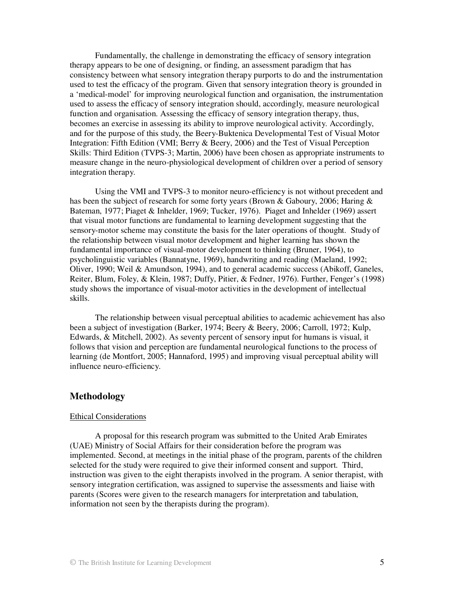Fundamentally, the challenge in demonstrating the efficacy of sensory integration therapy appears to be one of designing, or finding, an assessment paradigm that has consistency between what sensory integration therapy purports to do and the instrumentation used to test the efficacy of the program. Given that sensory integration theory is grounded in a 'medical-model' for improving neurological function and organisation, the instrumentation used to assess the efficacy of sensory integration should, accordingly, measure neurological function and organisation. Assessing the efficacy of sensory integration therapy, thus, becomes an exercise in assessing its ability to improve neurological activity. Accordingly, and for the purpose of this study, the Beery-Buktenica Developmental Test of Visual Motor Integration: Fifth Edition (VMI; Berry & Beery, 2006) and the Test of Visual Perception Skills: Third Edition (TVPS-3; Martin, 2006) have been chosen as appropriate instruments to measure change in the neuro-physiological development of children over a period of sensory integration therapy.

Using the VMI and TVPS-3 to monitor neuro-efficiency is not without precedent and has been the subject of research for some forty years (Brown & Gaboury, 2006; Haring & Bateman, 1977; Piaget & Inhelder, 1969; Tucker, 1976). Piaget and Inhelder (1969) assert that visual motor functions are fundamental to learning development suggesting that the sensory-motor scheme may constitute the basis for the later operations of thought. Study of the relationship between visual motor development and higher learning has shown the fundamental importance of visual-motor development to thinking (Bruner, 1964), to psycholinguistic variables (Bannatyne, 1969), handwriting and reading (Maeland, 1992; Oliver, 1990; Weil & Amundson, 1994), and to general academic success (Abikoff, Ganeles, Reiter, Blum, Foley, & Klein, 1987; Duffy, Pitier, & Fedner, 1976). Further, Fenger's (1998) study shows the importance of visual-motor activities in the development of intellectual skills.

The relationship between visual perceptual abilities to academic achievement has also been a subject of investigation (Barker, 1974; Beery & Beery, 2006; Carroll, 1972; Kulp, Edwards, & Mitchell, 2002). As seventy percent of sensory input for humans is visual, it follows that vision and perception are fundamental neurological functions to the process of learning (de Montfort, 2005; Hannaford, 1995) and improving visual perceptual ability will influence neuro-efficiency.

# **Methodology**

#### Ethical Considerations

A proposal for this research program was submitted to the United Arab Emirates (UAE) Ministry of Social Affairs for their consideration before the program was implemented. Second, at meetings in the initial phase of the program, parents of the children selected for the study were required to give their informed consent and support. Third, instruction was given to the eight therapists involved in the program. A senior therapist, with sensory integration certification, was assigned to supervise the assessments and liaise with parents (Scores were given to the research managers for interpretation and tabulation, information not seen by the therapists during the program).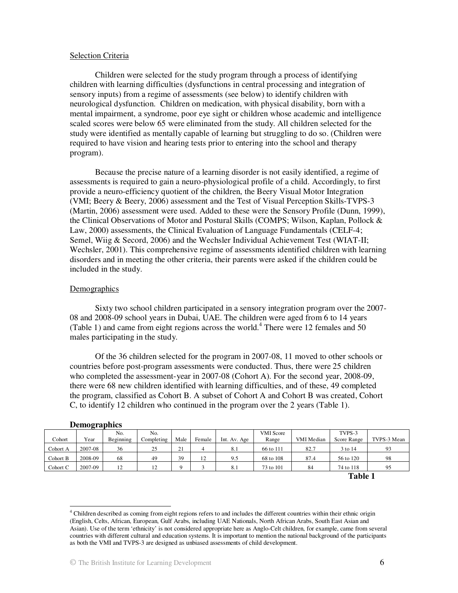#### Selection Criteria

Children were selected for the study program through a process of identifying children with learning difficulties (dysfunctions in central processing and integration of sensory inputs) from a regime of assessments (see below) to identify children with neurological dysfunction. Children on medication, with physical disability, born with a mental impairment, a syndrome, poor eye sight or children whose academic and intelligence scaled scores were below 65 were eliminated from the study. All children selected for the study were identified as mentally capable of learning but struggling to do so. (Children were required to have vision and hearing tests prior to entering into the school and therapy program).

Because the precise nature of a learning disorder is not easily identified, a regime of assessments is required to gain a neuro-physiological profile of a child. Accordingly, to first provide a neuro-efficiency quotient of the children, the Beery Visual Motor Integration (VMI; Beery & Beery, 2006) assessment and the Test of Visual Perception Skills-TVPS-3 (Martin, 2006) assessment were used. Added to these were the Sensory Profile (Dunn, 1999), the Clinical Observations of Motor and Postural Skills (COMPS; Wilson, Kaplan, Pollock & Law, 2000) assessments, the Clinical Evaluation of Language Fundamentals (CELF-4; Semel, Wiig & Secord, 2006) and the Wechsler Individual Achievement Test (WIAT-II; Wechsler, 2001). This comprehensive regime of assessments identified children with learning disorders and in meeting the other criteria, their parents were asked if the children could be included in the study.

#### **Demographics**

Sixty two school children participated in a sensory integration program over the 2007- 08 and 2008-09 school years in Dubai, UAE. The children were aged from 6 to 14 years (Table 1) and came from eight regions across the world.<sup>4</sup> There were 12 females and 50 males participating in the study.

Of the 36 children selected for the program in 2007-08, 11 moved to other schools or countries before post-program assessments were conducted. Thus, there were 25 children who completed the assessment-year in 2007-08 (Cohort A). For the second year, 2008-09, there were 68 new children identified with learning difficulties, and of these, 49 completed the program, classified as Cohort B. A subset of Cohort A and Cohort B was created, Cohort C, to identify 12 children who continued in the program over the 2 years (Table 1).

|          | $P$ canve applied |           |            |      |                |              |                  |                |             |             |  |  |  |
|----------|-------------------|-----------|------------|------|----------------|--------------|------------------|----------------|-------------|-------------|--|--|--|
|          |                   | No.       | No.        |      |                |              | <b>VMI</b> Score |                | TVPS-3      |             |  |  |  |
| Cohort   | Year              | Beginning | Completing | Male | Female         | Int. Av. Age | Range            | VMI Median     | Score Range | TVPS-3 Mean |  |  |  |
| Cohort A | 2007-08           | 36        | 25         | 21   | $\overline{4}$ | 8.1          | 66 to 111        | 82.7           | 3 to 14     | 93          |  |  |  |
| Cohort B | 2008-09           | 68        | 49         | 39   | 12             | 9.5          | 68 to 108        | 87.4           | 56 to 120   | 98          |  |  |  |
| Cohort C | 2007-09           | 12        | 12         |      |                | 8.1          | 73 to 101        | 84             | 74 to 118   | 95          |  |  |  |
|          |                   |           |            |      |                |              |                  | <b>Table 1</b> |             |             |  |  |  |

#### **Demographics**

<sup>&</sup>lt;sup>4</sup> Children described as coming from eight regions refers to and includes the different countries within their ethnic origin (English, Celts, African, European, Gulf Arabs, including UAE Nationals, North African Arabs, South East Asian and Asian). Use of the term 'ethnicity' is not considered appropriate here as Anglo-Celt children, for example, came from several countries with different cultural and education systems. It is important to mention the national background of the participants as both the VMI and TVPS-3 are designed as unbiased assessments of child development.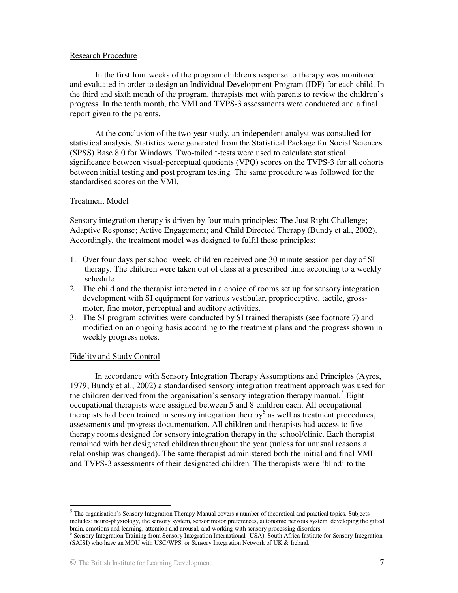### Research Procedure

In the first four weeks of the program children's response to therapy was monitored and evaluated in order to design an Individual Development Program (IDP) for each child. In the third and sixth month of the program, therapists met with parents to review the children's progress. In the tenth month, the VMI and TVPS-3 assessments were conducted and a final report given to the parents.

At the conclusion of the two year study, an independent analyst was consulted for statistical analysis. Statistics were generated from the Statistical Package for Social Sciences (SPSS) Base 8.0 for Windows. Two-tailed t-tests were used to calculate statistical significance between visual-perceptual quotients (VPQ) scores on the TVPS-3 for all cohorts between initial testing and post program testing. The same procedure was followed for the standardised scores on the VMI.

### Treatment Model

Sensory integration therapy is driven by four main principles: The Just Right Challenge; Adaptive Response; Active Engagement; and Child Directed Therapy (Bundy et al., 2002). Accordingly, the treatment model was designed to fulfil these principles:

- 1. Over four days per school week, children received one 30 minute session per day of SI therapy. The children were taken out of class at a prescribed time according to a weekly schedule.
- 2. The child and the therapist interacted in a choice of rooms set up for sensory integration development with SI equipment for various vestibular, proprioceptive, tactile, grossmotor, fine motor, perceptual and auditory activities.
- 3. The SI program activities were conducted by SI trained therapists (see footnote 7) and modified on an ongoing basis according to the treatment plans and the progress shown in weekly progress notes.

### Fidelity and Study Control

-

In accordance with Sensory Integration Therapy Assumptions and Principles (Ayres, 1979; Bundy et al., 2002) a standardised sensory integration treatment approach was used for the children derived from the organisation's sensory integration therapy manual.<sup>5</sup> Eight occupational therapists were assigned between 5 and 8 children each. All occupational therapists had been trained in sensory integration therapy $<sup>6</sup>$  as well as treatment procedures,</sup> assessments and progress documentation. All children and therapists had access to five therapy rooms designed for sensory integration therapy in the school/clinic. Each therapist remained with her designated children throughout the year (unless for unusual reasons a relationship was changed). The same therapist administered both the initial and final VMI and TVPS-3 assessments of their designated children. The therapists were 'blind' to the

<sup>&</sup>lt;sup>5</sup> The organisation's Sensory Integration Therapy Manual covers a number of theoretical and practical topics. Subjects includes: neuro-physiology, the sensory system, sensorimotor preferences, autonomic nervous system, developing the gifted brain, emotions and learning, attention and arousal, and working with sensory processing disorders.

<sup>6</sup> Sensory Integration Training from Sensory Integration International (USA), South Africa Institute for Sensory Integration (SAISI) who have an MOU with USC/WPS, or Sensory Integration Network of UK & Ireland.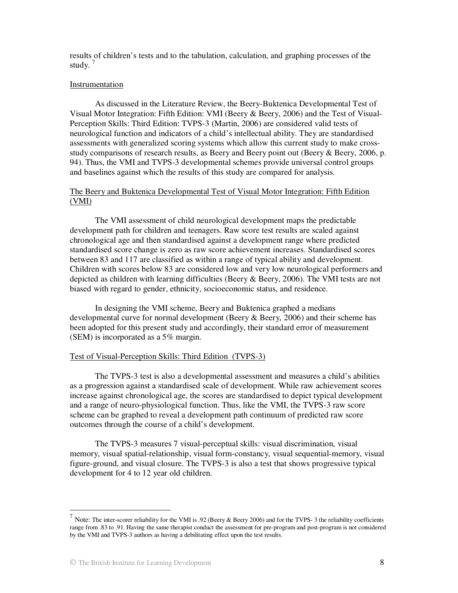results of children's tests and to the tabulation, calculation, and graphing processes of the study. $7$ 

#### Instrumentation

As discussed in the Literature Review, the Beery-Buktenica Developmental Test of Visual Motor Integration: Fifth Edition: VMI (Beery & Beery, 2006) and the Test of Visual-Perception Skills: Third Edition: TVPS-3 (Martin, 2006) are considered valid tests of neurological function and indicators of a child's intellectual ability. They are standardised assessments with generalized scoring systems which allow this current study to make crossstudy comparisons of research results, as Beery and Beery point out (Beery & Beery, 2006, p. 94). Thus, the VMI and TVPS-3 developmental schemes provide universal control groups and baselines against which the results of this study are compared for analysis.

### The Beery and Buktenica Developmental Test of Visual Motor Integration: Fifth Edition (VMI)

The VMI assessment of child neurological development maps the predictable development path for children and teenagers. Raw score test results are scaled against chronological age and then standardised against a development range where predicted standardised score change is zero as raw score achievement increases. Standardised scores between 83 and 117 are classified as within a range of typical ability and development. Children with scores below 83 are considered low and very low neurological performers and depicted as children with learning difficulties (Beery & Beery, 2006). The VMI tests are not biased with regard to gender, ethnicity, socioeconomic status, and residence.

In designing the VMI scheme, Beery and Buktenica graphed a medians developmental curve for normal development (Beery & Beery, 2006) and their scheme has been adopted for this present study and accordingly, their standard error of measurement (SEM) is incorporated as a 5% margin.

#### Test of Visual-Perception Skills: Third Edition (TVPS-3)

The TVPS-3 test is also a developmental assessment and measures a child's abilities as a progression against a standardised scale of development. While raw achievement scores increase against chronological age, the scores are standardised to depict typical development and a range of neuro-physiological function. Thus, like the VMI, the TVPS-3 raw score scheme can be graphed to reveal a development path continuum of predicted raw score outcomes through the course of a child's development.

The TVPS-3 measures 7 visual-perceptual skills: visual discrimination, visual memory, visual spatial-relationship, visual form-constancy, visual sequential-memory, visual figure-ground, and visual closure. The TVPS-3 is also a test that shows progressive typical development for 4 to 12 year old children.

<sup>7</sup> Note: The inter-scorer reliability for the VMI is .92 (Beery & Beery 2006) and for the TVPS- 3 the reliability coefficients range from .83 to .91. Having the same therapist conduct the assessment for pre-program and post-program is not considered by the VMI and TVPS-3 authors as having a debilitating effect upon the test results.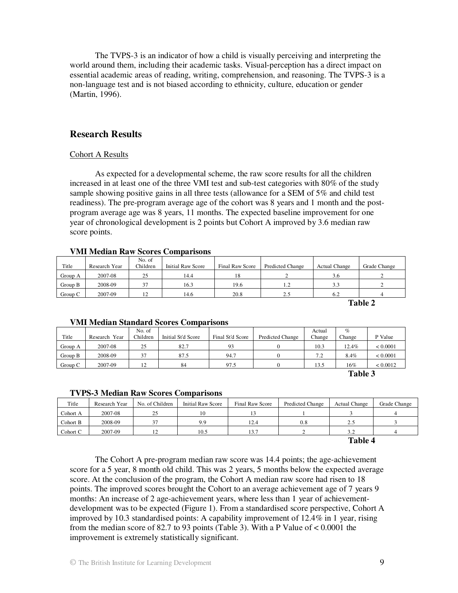The TVPS-3 is an indicator of how a child is visually perceiving and interpreting the world around them, including their academic tasks. Visual-perception has a direct impact on essential academic areas of reading, writing, comprehension, and reasoning. The TVPS-3 is a non-language test and is not biased according to ethnicity, culture, education or gender (Martin, 1996).

# **Research Results**

### Cohort A Results

As expected for a developmental scheme, the raw score results for all the children increased in at least one of the three VMI test and sub-test categories with 80% of the study sample showing positive gains in all three tests (allowance for a SEM of 5% and child test readiness). The pre-program average age of the cohort was 8 years and 1 month and the postprogram average age was 8 years, 11 months. The expected baseline improvement for one year of chronological development is 2 points but Cohort A improved by 3.6 median raw score points.

### **VMI Median Raw Scores Comparisons**

|         |               | No. of   |                          |                 |                  |                      |              |  |  |  |  |
|---------|---------------|----------|--------------------------|-----------------|------------------|----------------------|--------------|--|--|--|--|
| Title   | Research Year | Children | <b>Initial Raw Score</b> | Final Raw Score | Predicted Change | <b>Actual Change</b> | Grade Change |  |  |  |  |
| Group A | 2007-08       | 25       | 14.4                     |                 |                  | 3.6                  |              |  |  |  |  |
| Group B | 2008-09       | 37       | 16.3                     | 19.6            | 1.2              | 3.3                  |              |  |  |  |  |
| Group C | 2007-09       | 12       | 14.6                     | 20.8            | 2.5              | 6.2                  |              |  |  |  |  |
|         | ___           |          |                          |                 |                  |                      |              |  |  |  |  |

**Table 2** 

### **VMI Median Standard Scores Comparisons**

|         |               | No. of         |                    |                  |                         | Actual | $\%$   |          |
|---------|---------------|----------------|--------------------|------------------|-------------------------|--------|--------|----------|
| Title   | Research Year | Children       | Initial St'd Score | Final St'd Score | <b>Predicted Change</b> | Change | Change | P Value  |
| Group A | 2007-08       | 25             | 82.7               | 93               |                         | 10.3   | 12.4%  | < 0.0001 |
| Group B | 2008-09       | 37             | 87.5               | 94.7             |                         | 7.2    | 8.4%   | < 0.0001 |
| Group C | 2007-09       | $\overline{1}$ | 84                 | 97.5             |                         | 13.5   | 16%    | < 0.0012 |

**Table 3** 

### **TVPS-3 Median Raw Scores Comparisons**

| Title              | Research Year | No. of Children | Initial Raw Score | Final Raw Score | Predicted Change | <b>Actual Change</b> | Grade Change |  |
|--------------------|---------------|-----------------|-------------------|-----------------|------------------|----------------------|--------------|--|
| Cohort A           | 2007-08       | 25              | 10                |                 |                  |                      |              |  |
| Cohort B           | 2008-09       | -37             | 9.9               | 12.4            | 0.8              |                      |              |  |
| Cohort C           | 2007-09       |                 | 10.5              | 13.7            |                  | 3.2                  |              |  |
| $T0$ kla $\Lambda$ |               |                 |                   |                 |                  |                      |              |  |

**Table 4** 

The Cohort A pre-program median raw score was 14.4 points; the age-achievement score for a 5 year, 8 month old child. This was 2 years, 5 months below the expected average score. At the conclusion of the program, the Cohort A median raw score had risen to 18 points. The improved scores brought the Cohort to an average achievement age of 7 years 9 months: An increase of 2 age-achievement years, where less than 1 year of achievementdevelopment was to be expected (Figure 1). From a standardised score perspective, Cohort A improved by 10.3 standardised points: A capability improvement of 12.4% in 1 year, rising from the median score of 82.7 to 93 points (Table 3). With a P Value of < 0.0001 the improvement is extremely statistically significant.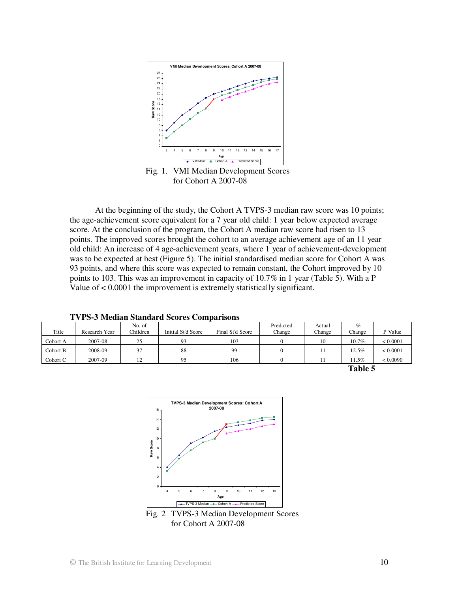

 Fig. 1. VMI Median Development Scores for Cohort A 2007-08

At the beginning of the study, the Cohort A TVPS-3 median raw score was 10 points; the age-achievement score equivalent for a 7 year old child: 1 year below expected average score. At the conclusion of the program, the Cohort A median raw score had risen to 13 points. The improved scores brought the cohort to an average achievement age of an 11 year old child: An increase of 4 age-achievement years, where 1 year of achievement-development was to be expected at best (Figure 5). The initial standardised median score for Cohort A was 93 points, and where this score was expected to remain constant, the Cohort improved by 10 points to 103. This was an improvement in capacity of 10.7% in 1 year (Table 5). With a P Value of < 0.0001 the improvement is extremely statistically significant.

| Title    | Research Year | No. of<br>Children | Initial St'd Score | Final St'd Score | Predicted<br>Change | Actual<br>Change | %<br>Change | P Value  |
|----------|---------------|--------------------|--------------------|------------------|---------------------|------------------|-------------|----------|
| Cohort A | 2007-08       | 25                 | 93                 | 103              |                     | 10               | 10.7%       | < 0.0001 |
| Cohort B | 2008-09       | 37                 | 88                 | 99               |                     |                  | $12.5\%$    | < 0.0001 |
| Cohort C | 2007-09       | 12<br>∸            | 95                 | 106              |                     |                  | $1.5\%$     | < 0.0090 |
|          | Table 5       |                    |                    |                  |                     |                  |             |          |

**TVPS-3 Median Standard Scores Comparisons** 



 Fig. 2 TVPS-3 Median Development Scores for Cohort A 2007-08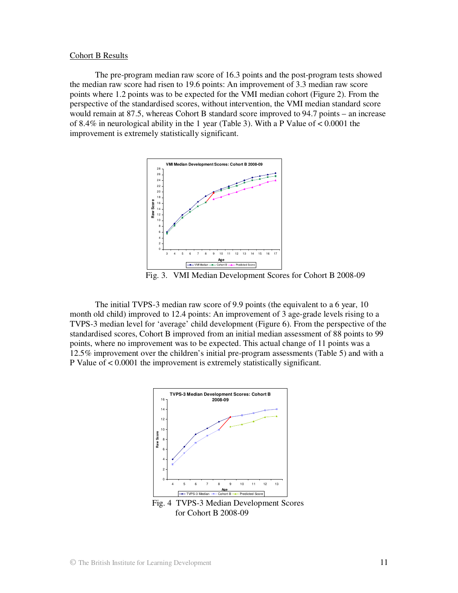#### Cohort B Results

The pre-program median raw score of 16.3 points and the post-program tests showed the median raw score had risen to 19.6 points: An improvement of 3.3 median raw score points where 1.2 points was to be expected for the VMI median cohort (Figure 2). From the perspective of the standardised scores, without intervention, the VMI median standard score would remain at 87.5, whereas Cohort B standard score improved to 94.7 points – an increase of 8.4% in neurological ability in the 1 year (Table 3). With a P Value of < 0.0001 the improvement is extremely statistically significant.



Fig. 3. VMI Median Development Scores for Cohort B 2008-09

The initial TVPS-3 median raw score of 9.9 points (the equivalent to a 6 year, 10 month old child) improved to 12.4 points: An improvement of 3 age-grade levels rising to a TVPS-3 median level for 'average' child development (Figure 6). From the perspective of the standardised scores, Cohort B improved from an initial median assessment of 88 points to 99 points, where no improvement was to be expected. This actual change of 11 points was a 12.5% improvement over the children's initial pre-program assessments (Table 5) and with a P Value of < 0.0001 the improvement is extremely statistically significant.



for Cohort B 2008-09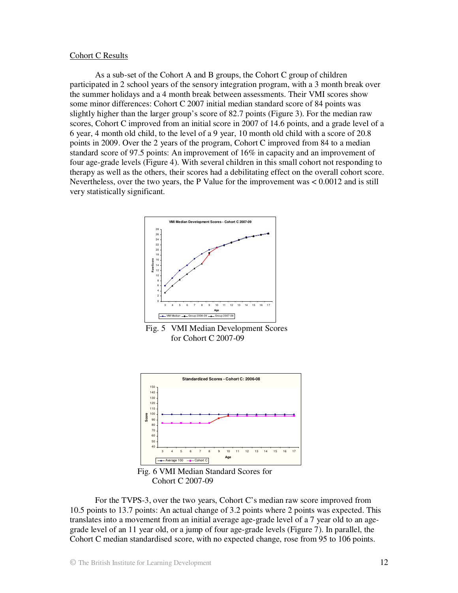#### Cohort C Results

As a sub-set of the Cohort A and B groups, the Cohort C group of children participated in 2 school years of the sensory integration program, with a 3 month break over the summer holidays and a 4 month break between assessments. Their VMI scores show some minor differences: Cohort C 2007 initial median standard score of 84 points was slightly higher than the larger group's score of 82.7 points (Figure 3). For the median raw scores, Cohort C improved from an initial score in 2007 of 14.6 points, and a grade level of a 6 year, 4 month old child, to the level of a 9 year, 10 month old child with a score of 20.8 points in 2009. Over the 2 years of the program, Cohort C improved from 84 to a median standard score of 97.5 points: An improvement of 16% in capacity and an improvement of four age-grade levels (Figure 4). With several children in this small cohort not responding to therapy as well as the others, their scores had a debilitating effect on the overall cohort score. Nevertheless, over the two years, the P Value for the improvement was < 0.0012 and is still very statistically significant.



 Fig. 5 VMI Median Development Scores for Cohort C 2007-09



 Fig. 6 VMI Median Standard Scores for Cohort C 2007-09

For the TVPS-3, over the two years, Cohort C's median raw score improved from 10.5 points to 13.7 points: An actual change of 3.2 points where 2 points was expected. This translates into a movement from an initial average age-grade level of a 7 year old to an agegrade level of an 11 year old, or a jump of four age-grade levels (Figure 7). In parallel, the Cohort C median standardised score, with no expected change, rose from 95 to 106 points.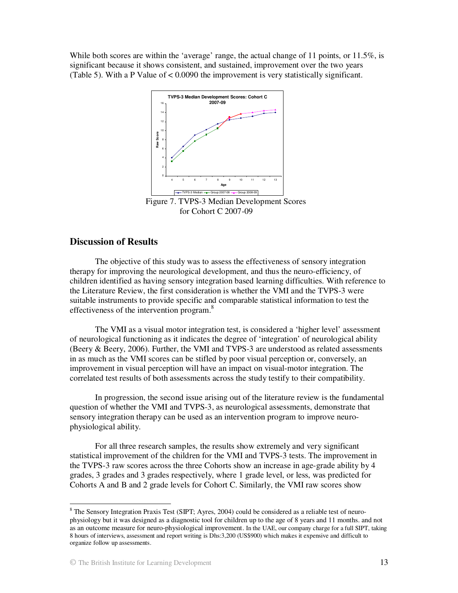While both scores are within the 'average' range, the actual change of 11 points, or 11.5%, is significant because it shows consistent, and sustained, improvement over the two years (Table 5). With a P Value of < 0.0090 the improvement is very statistically significant.



for Cohort C 2007-09

# **Discussion of Results**

The objective of this study was to assess the effectiveness of sensory integration therapy for improving the neurological development, and thus the neuro-efficiency, of children identified as having sensory integration based learning difficulties. With reference to the Literature Review, the first consideration is whether the VMI and the TVPS-3 were suitable instruments to provide specific and comparable statistical information to test the effectiveness of the intervention program.<sup>8</sup>

The VMI as a visual motor integration test, is considered a 'higher level' assessment of neurological functioning as it indicates the degree of 'integration' of neurological ability (Beery & Beery, 2006). Further, the VMI and TVPS-3 are understood as related assessments in as much as the VMI scores can be stifled by poor visual perception or, conversely, an improvement in visual perception will have an impact on visual-motor integration. The correlated test results of both assessments across the study testify to their compatibility.

In progression, the second issue arising out of the literature review is the fundamental question of whether the VMI and TVPS-3, as neurological assessments, demonstrate that sensory integration therapy can be used as an intervention program to improve neurophysiological ability.

For all three research samples, the results show extremely and very significant statistical improvement of the children for the VMI and TVPS-3 tests. The improvement in the TVPS-3 raw scores across the three Cohorts show an increase in age-grade ability by 4 grades, 3 grades and 3 grades respectively, where 1 grade level, or less, was predicted for Cohorts A and B and 2 grade levels for Cohort C. Similarly, the VMI raw scores show

<sup>&</sup>lt;sup>8</sup> The Sensory Integration Praxis Test (SIPT; Ayres, 2004) could be considered as a reliable test of neurophysiology but it was designed as a diagnostic tool for children up to the age of 8 years and 11 months. and not as an outcome measure for neuro-physiological improvement. In the UAE, our company charge for a full SIPT, taking 8 hours of interviews, assessment and report writing is Dhs:3,200 (US\$900) which makes it expensive and difficult to organize follow up assessments.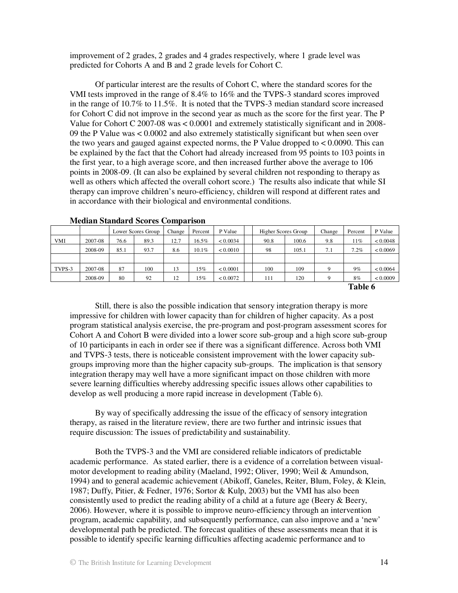improvement of 2 grades, 2 grades and 4 grades respectively, where 1 grade level was predicted for Cohorts A and B and 2 grade levels for Cohort C.

Of particular interest are the results of Cohort C, where the standard scores for the VMI tests improved in the range of 8.4% to 16% and the TVPS-3 standard scores improved in the range of 10.7% to 11.5%. It is noted that the TVPS-3 median standard score increased for Cohort C did not improve in the second year as much as the score for the first year. The P Value for Cohort C 2007-08 was < 0.0001 and extremely statistically significant and in 2008- 09 the P Value was < 0.0002 and also extremely statistically significant but when seen over the two years and gauged against expected norms, the P Value dropped to < 0.0090. This can be explained by the fact that the Cohort had already increased from 95 points to 103 points in the first year, to a high average score, and then increased further above the average to 106 points in 2008-09. (It can also be explained by several children not responding to therapy as well as others which affected the overall cohort score.) The results also indicate that while SI therapy can improve children's neuro-efficiency, children will respond at different rates and in accordance with their biological and environmental conditions.

|            |         | Lower Scores Group |      | Change               | Percent | P Value  |  | Higher Scores Group |       | Change | Percent | P Value  |
|------------|---------|--------------------|------|----------------------|---------|----------|--|---------------------|-------|--------|---------|----------|
| <b>VMI</b> | 2007-08 | 76.6               | 89.3 | 12.7                 | 16.5%   | < 0.0034 |  | 90.8                | 100.6 | 9.8    | 11%     | < 0.0048 |
|            | 2008-09 | 85.1               | 93.7 | 8.6                  | 10.1%   | < 0.0010 |  | 98                  | 105.1 | 7.1    | 7.2%    | < 0.0069 |
|            |         |                    |      |                      |         |          |  |                     |       |        |         |          |
| TVPS-3     | 2007-08 | 87                 | 100  | 13                   | l 5%    | < 0.0001 |  | 100                 | 109   |        | 9%      | < 0.0064 |
|            | 2008-09 | 80                 | 92   | 12<br>$\overline{1}$ | .5%     | < 0.0072 |  | 111                 | 120   |        | 8%      | < 0.0009 |
|            |         |                    |      |                      |         |          |  | $\sim$ $\sim$       |       |        |         |          |

**Median Standard Scores Comparison**

**Table 6** 

Still, there is also the possible indication that sensory integration therapy is more impressive for children with lower capacity than for children of higher capacity. As a post program statistical analysis exercise, the pre-program and post-program assessment scores for Cohort A and Cohort B were divided into a lower score sub-group and a high score sub-group of 10 participants in each in order see if there was a significant difference. Across both VMI and TVPS-3 tests, there is noticeable consistent improvement with the lower capacity subgroups improving more than the higher capacity sub-groups. The implication is that sensory integration therapy may well have a more significant impact on those children with more severe learning difficulties whereby addressing specific issues allows other capabilities to develop as well producing a more rapid increase in development (Table 6).

By way of specifically addressing the issue of the efficacy of sensory integration therapy, as raised in the literature review, there are two further and intrinsic issues that require discussion: The issues of predictability and sustainability.

Both the TVPS-3 and the VMI are considered reliable indicators of predictable academic performance. As stated earlier, there is a evidence of a correlation between visualmotor development to reading ability (Maeland, 1992; Oliver, 1990; Weil & Amundson, 1994) and to general academic achievement (Abikoff, Ganeles, Reiter, Blum, Foley, & Klein, 1987; Duffy, Pitier, & Fedner, 1976; Sortor & Kulp, 2003) but the VMI has also been consistently used to predict the reading ability of a child at a future age (Beery & Beery, 2006). However, where it is possible to improve neuro-efficiency through an intervention program, academic capability, and subsequently performance, can also improve and a 'new' developmental path be predicted. The forecast qualities of these assessments mean that it is possible to identify specific learning difficulties affecting academic performance and to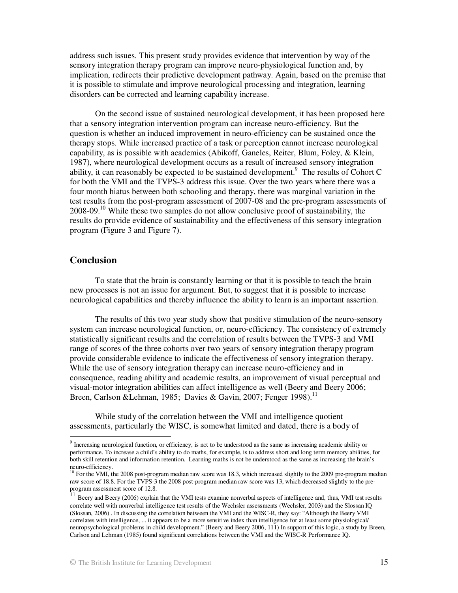address such issues. This present study provides evidence that intervention by way of the sensory integration therapy program can improve neuro-physiological function and, by implication, redirects their predictive development pathway. Again, based on the premise that it is possible to stimulate and improve neurological processing and integration, learning disorders can be corrected and learning capability increase.

On the second issue of sustained neurological development, it has been proposed here that a sensory integration intervention program can increase neuro-efficiency. But the question is whether an induced improvement in neuro-efficiency can be sustained once the therapy stops. While increased practice of a task or perception cannot increase neurological capability, as is possible with academics (Abikoff, Ganeles, Reiter, Blum, Foley, & Klein, 1987), where neurological development occurs as a result of increased sensory integration ability, it can reasonably be expected to be sustained development.<sup>9</sup> The results of Cohort C for both the VMI and the TVPS-3 address this issue. Over the two years where there was a four month hiatus between both schooling and therapy, there was marginal variation in the test results from the post-program assessment of 2007-08 and the pre-program assessments of 2008-09.<sup>10</sup> While these two samples do not allow conclusive proof of sustainability, the results do provide evidence of sustainability and the effectiveness of this sensory integration program (Figure 3 and Figure 7).

### **Conclusion**

To state that the brain is constantly learning or that it is possible to teach the brain new processes is not an issue for argument. But, to suggest that it is possible to increase neurological capabilities and thereby influence the ability to learn is an important assertion.

The results of this two year study show that positive stimulation of the neuro-sensory system can increase neurological function, or, neuro-efficiency. The consistency of extremely statistically significant results and the correlation of results between the TVPS-3 and VMI range of scores of the three cohorts over two years of sensory integration therapy program provide considerable evidence to indicate the effectiveness of sensory integration therapy. While the use of sensory integration therapy can increase neuro-efficiency and in consequence, reading ability and academic results, an improvement of visual perceptual and visual-motor integration abilities can affect intelligence as well (Beery and Beery 2006; Breen, Carlson &Lehman, 1985; Davies & Gavin, 2007; Fenger 1998).<sup>11</sup>

While study of the correlation between the VMI and intelligence quotient assessments, particularly the WISC, is somewhat limited and dated, there is a body of

The increasing neurological function, or efficiency, is not to be understood as the same as increasing academic ability or performance. To increase a child's ability to do maths, for example, is to address short and long term memory abilities, for both skill retention and information retention. Learning maths is not be understood as the same as increasing the brain's neuro-efficiency.

<sup>&</sup>lt;sup>10</sup> For the VMI, the 2008 post-program median raw score was 18.3, which increased slightly to the 2009 pre-program median raw score of 18.8. For the TVPS-3 the 2008 post-program median raw score was 13, which decreased slightly to the preprogram assessment score of 12.8.

 $11$  Beery and Beery (2006) explain that the VMI tests examine nonverbal aspects of intelligence and, thus, VMI test results correlate well with nonverbal intelligence test results of the Wechsler assessments (Wechsler, 2003) and the Slossan IQ (Slossan, 2006) . In discussing the correlation between the VMI and the WISC-R, they say: "Although the Beery VMI correlates with intelligence, ... it appears to be a more sensitive index than intelligence for at least some physiological/ neuropsychological problems in child development." (Beery and Beery 2006, 111) In support of this logic, a study by Breen, Carlson and Lehman (1985) found significant correlations between the VMI and the WISC-R Performance IQ.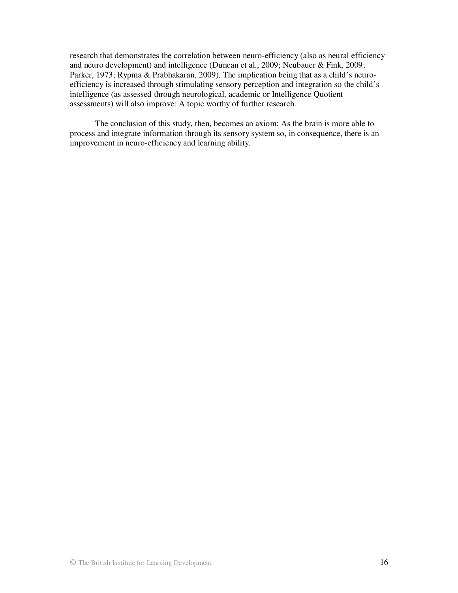research that demonstrates the correlation between neuro-efficiency (also as neural efficiency and neuro development) and intelligence (Duncan et al., 2009; Neubauer & Fink, 2009; Parker, 1973; Rypma & Prabhakaran, 2009). The implication being that as a child's neuroefficiency is increased through stimulating sensory perception and integration so the child's intelligence (as assessed through neurological, academic or Intelligence Quotient assessments) will also improve: A topic worthy of further research.

The conclusion of this study, then, becomes an axiom: As the brain is more able to process and integrate information through its sensory system so, in consequence, there is an improvement in neuro-efficiency and learning ability.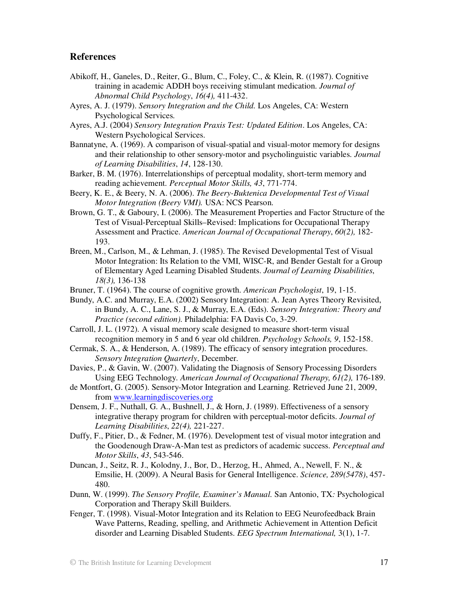### **References**

- Abikoff, H., Ganeles, D., Reiter, G., Blum, C., Foley, C., & Klein, R. ((1987). Cognitive training in academic ADDH boys receiving stimulant medication. *Journal of Abnormal Child Psychology*, *16(4),* 411-432.
- Ayres, A. J. (1979). *Sensory Integration and the Child.* Los Angeles, CA: Western Psychological Services.
- Ayres, A.J. (2004) *Sensory Integration Praxis Test: Updated Edition*. Los Angeles, CA: Western Psychological Services.
- Bannatyne, A. (1969). A comparison of visual-spatial and visual-motor memory for designs and their relationship to other sensory-motor and psycholinguistic variables. *Journal of Learning Disabilities*, *14*, 128-130.
- Barker, B. M. (1976). Interrelationships of perceptual modality, short-term memory and reading achievement. *Perceptual Motor Skills, 43*, 771-774.
- Beery, K. E., & Beery, N. A. (2006). *The Beery-Buktenica Developmental Test of Visual Motor Integration (Beery VMI).* USA: NCS Pearson.
- Brown, G. T., & Gaboury, I. (2006). The Measurement Properties and Factor Structure of the Test of Visual-Perceptual Skills–Revised: Implications for Occupational Therapy Assessment and Practice. *American Journal of Occupational Therapy*, *60(2),* 182- 193.
- Breen, M., Carlson, M., & Lehman, J. (1985). The Revised Developmental Test of Visual Motor Integration: Its Relation to the VMI, WISC-R, and Bender Gestalt for a Group of Elementary Aged Learning Disabled Students. *Journal of Learning Disabilities*, *18(3),* 136-138
- Bruner, T. (1964). The course of cognitive growth. *American Psychologist*, 19, 1-15.
- Bundy, A.C. and Murray, E.A. (2002) Sensory Integration: A. Jean Ayres Theory Revisited, in Bundy, A. C., Lane, S. J., & Murray, E.A. (Eds). *Sensory Integration: Theory and Practice (second edition).* Philadelphia: FA Davis Co, 3-29.
- Carroll, J. L. (1972). A visual memory scale designed to measure short-term visual recognition memory in 5 and 6 year old children. *Psychology Schools, 9*, 152-158.
- Cermak, S. A., & Henderson, A. (1989). The efficacy of sensory integration procedures. *Sensory Integration Quarterly*, December.
- Davies, P., & Gavin, W. (2007). Validating the Diagnosis of Sensory Processing Disorders Using EEG Technology. *American Journal of Occupational Therapy, 61(2),* 176-189.
- de Montfort, G. (2005). Sensory-Motor Integration and Learning. Retrieved June 21, 2009, from www.learningdiscoveries.org
- Densem, J. F., Nuthall, G. A., Bushnell, J., & Horn, J. (1989). Effectiveness of a sensory integrative therapy program for children with perceptual-motor deficits. *Journal of Learning Disabilities*, *22(4),* 221-227.
- Duffy, F., Pitier, D., & Fedner, M. (1976). Development test of visual motor integration and the Goodenough Draw-A-Man test as predictors of academic success. *Perceptual and Motor Skills*, *43*, 543-546.
- Duncan, J., Seitz, R. J., Kolodny, J., Bor, D., Herzog, H., Ahmed, A., Newell, F. N., & Emsilie, H. (2009). A Neural Basis for General Intelligence. *Science, 289(5478)*, 457- 480.
- Dunn, W. (1999). *The Sensory Profile, Examiner's Manual.* San Antonio, TX*:* Psychological Corporation and Therapy Skill Builders.
- Fenger, T. (1998). Visual-Motor Integration and its Relation to EEG Neurofeedback Brain Wave Patterns, Reading, spelling, and Arithmetic Achievement in Attention Deficit disorder and Learning Disabled Students. *EEG Spectrum International,* 3(1), 1-7.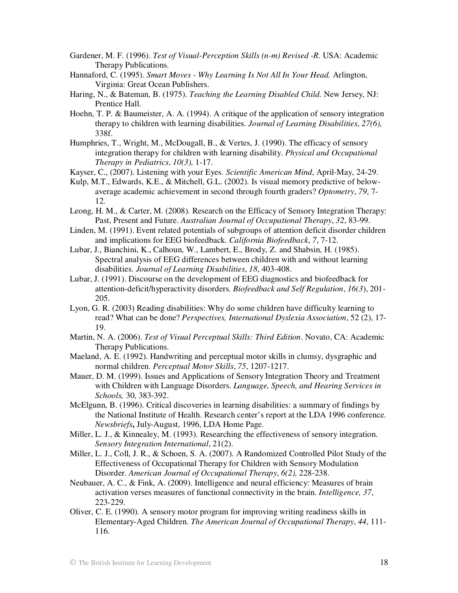- Gardener, M. F. (1996). *Test of Visual-Perception Skills (n-m) Revised -R.* USA: Academic Therapy Publications.
- Hannaford, C. (1995). *Smart Moves Why Learning Is Not All In Your Head.* Arlington, Virginia: Great Ocean Publishers.
- Haring, N., & Bateman, B. (1975). *Teaching the Learning Disabled Child.* New Jersey, NJ: Prentice Hall.
- Hoehn, T. P. & Baumeister, A. A. (1994). A critique of the application of sensory integration therapy to children with learning disabilities. *Journal of Learning Disabilities*, *27(6),* 338f.
- Humphries, T., Wright, M., McDougall, B., & Vertes, J. (1990). The efficacy of sensory integration therapy for children with learning disability. *Physical and Occupational Therapy in Pediatrics*, *10(3),* 1-17.

Kayser, C., (2007). Listening with your Eyes. *Scientific American Mind*, April-May, 24-29.

- Kulp, M.T., Edwards, K.E., & Mitchell, G.L. (2002). Is visual memory predictive of belowaverage academic achievement in second through fourth graders? *Optometry*, *79*, 7- 12.
- Leong, H. M., & Carter, M. (2008). Research on the Efficacy of Sensory Integration Therapy: Past, Present and Future. *Australian Journal of Occupational Therapy*, *32*, 83-99.
- Linden, M. (1991). Event related potentials of subgroups of attention deficit disorder children and implications for EEG biofeedback. *California Biofeedback*, *7*, 7-12.
- Lubar, J., Bianchini, K., Calhoun, W., Lambert, E., Brody, Z. and Shabsin, H. (1985). Spectral analysis of EEG differences between children with and without learning disabilities. *Journal of Learning Disabilities*, *18*, 403-408.
- Lubar, J. (1991). Discourse on the development of EEG diagnostics and biofeedback for attention-deficit/hyperactivity disorders. *Biofeedback and Self Regulation*, *16(3*), 201- 205.
- Lyon, G. R. (2003) Reading disabilities: Why do some children have difficulty learning to read? What can be done? *Perspectives, International Dyslexia Association*, 52 (2), 17- 19.
- Martin, N. A. (2006). *Test of Visual Perceptual Skills: Third Edition*. Novato, CA: Academic Therapy Publications.
- Maeland, A. E. (1992). Handwriting and perceptual motor skills in clumsy, dysgraphic and normal children. *Perceptual Motor Skills*, *75*, 1207-1217.
- Mauer, D. M. (1999). Issues and Applications of Sensory Integration Theory and Treatment with Children with Language Disorders. *Language, Speech, and Hearing Services in Schools,* 30, 383-392.
- McElgunn, B. (1996). Critical discoveries in learning disabilities: a summary of findings by the National Institute of Health. Research center's report at the LDA 1996 conference. *Newsbriefs***,** July-August, 1996, LDA Home Page.
- Miller, L. J., & Kinnealey, M. (1993). Researching the effectiveness of sensory integration. *Sensory Integration International*, 21(2).
- Miller, L. J., Coll, J. R., & Schoen, S. A. (2007). A Randomized Controlled Pilot Study of the Effectiveness of Occupational Therapy for Children with Sensory Modulation Disorder. *American Journal of Occupational Therapy*, *6(2),* 228-238.
- Neubauer, A. C., & Fink, A. (2009). Intelligence and neural efficiency: Measures of brain activation verses measures of functional connectivity in the brain. *Intelligence, 37*, 223-229.
- Oliver, C. E. (1990). A sensory motor program for improving writing readiness skills in Elementary-Aged Children. *The American Journal of Occupational Therapy*, *44*, 111- 116.